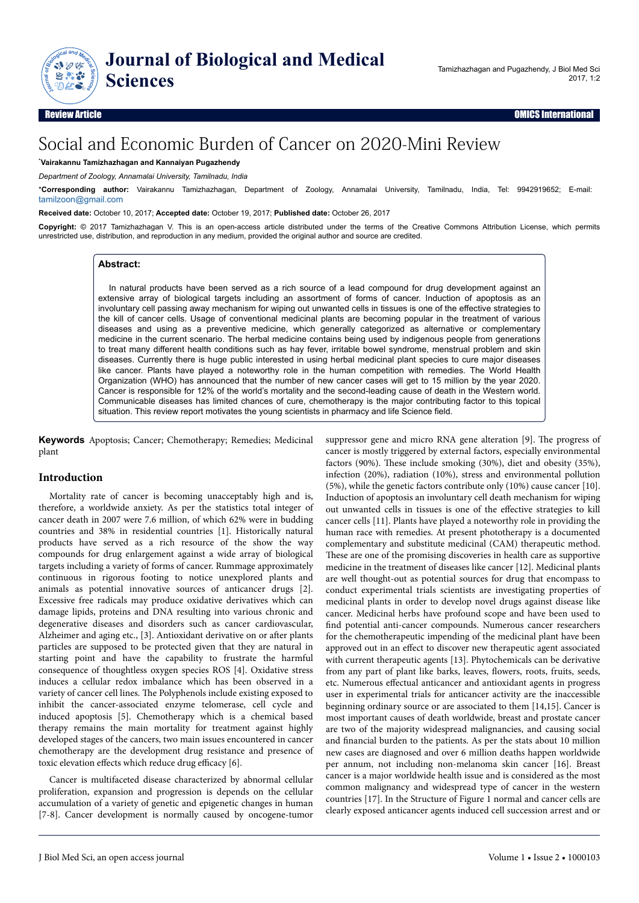

# Social and Economic Burden of Cancer on 2020-Mini Review

## \***Vairakannu Tamizhazhagan and Kannaiyan Pugazhendy**

*Department of Zoology, Annamalai University, Tamilnadu, India*

\***Corresponding author:** Vairakannu Tamizhazhagan, Department of Zoology, Annamalai University, Tamilnadu, India, Tel: 9942919652; E-mail: [tamilzoon@gmail.com](mailto:tamilzoon@gmail.com)

#### **Received date:** October 10, 2017; **Accepted date:** October 19, 2017; **Published date:** October 26, 2017

**Copyright:** © 2017 Tamizhazhagan V. This is an open-access article distributed under the terms of the Creative Commons Attribution License, which permits unrestricted use, distribution, and reproduction in any medium, provided the original author and source are credited.

### **Abstract:**

In natural products have been served as a rich source of a lead compound for drug development against an extensive array of biological targets including an assortment of forms of cancer. Induction of apoptosis as an involuntary cell passing away mechanism for wiping out unwanted cells in tissues is one of the effective strategies to the kill of cancer cells. Usage of conventional medicinal plants are becoming popular in the treatment of various diseases and using as a preventive medicine, which generally categorized as alternative or complementary medicine in the current scenario. The herbal medicine contains being used by indigenous people from generations to treat many different health conditions such as hay fever, irritable bowel syndrome, menstrual problem and skin diseases. Currently there is huge public interested in using herbal medicinal plant species to cure major diseases like cancer. Plants have played a noteworthy role in the human competition with remedies. The World Health Organization (WHO) has announced that the number of new cancer cases will get to 15 million by the year 2020. Cancer is responsible for 12% of the world's mortality and the second-leading cause of death in the Western world. Communicable diseases has limited chances of cure, chemotherapy is the major contributing factor to this topical situation. This review report motivates the young scientists in pharmacy and life Science field.

**Keywords** Apoptosis; Cancer; Chemotherapy; Remedies; Medicinal plant

## **Introduction**

Mortality rate of cancer is becoming unacceptably high and is, therefore, a worldwide anxiety. As per the statistics total integer of cancer death in 2007 were 7.6 million, of which 62% were in budding countries and 38% in residential countries [1]. Historically natural products have served as a rich resource of the show the way compounds for drug enlargement against a wide array of biological targets including a variety of forms of cancer. Rummage approximately continuous in rigorous footing to notice unexplored plants and animals as potential innovative sources of anticancer drugs [2]. Excessive free radicals may produce oxidative derivatives which can damage lipids, proteins and DNA resulting into various chronic and degenerative diseases and disorders such as cancer cardiovascular, Alzheimer and aging etc., [3]. Antioxidant derivative on or after plants particles are supposed to be protected given that they are natural in starting point and have the capability to frustrate the harmful consequence of thoughtless oxygen species ROS [4]. Oxidative stress induces a cellular redox imbalance which has been observed in a variety of cancer cell lines. Нe Polyphenols include existing exposed to inhibit the cancer-associated enzyme telomerase, cell cycle and induced apoptosis [5]. Chemotherapy which is a chemical based therapy remains the main mortality for treatment against highly developed stages of the cancers, two main issues encountered in cancer chemotherapy are the development drug resistance and presence of toxic elevation effects which reduce drug efficacy  $[6]$ .

Cancer is multifaceted disease characterized by abnormal cellular proliferation, expansion and progression is depends on the cellular accumulation of a variety of genetic and epigenetic changes in human [7-8]. Cancer development is normally caused by oncogene-tumor suppressor gene and micro RNA gene alteration [9]. Нe progress of cancer is mostly triggered by external factors, especially environmental factors (90%). Нese include smoking (30%), diet and obesity (35%), infection (20%), radiation (10%), stress and environmental pollution (5%), while the genetic factors contribute only (10%) cause cancer [10]. Induction of apoptosis an involuntary cell death mechanism for wiping out unwanted cells in tissues is one of the effective strategies to kill cancer cells [11]. Plants have played a noteworthy role in providing the human race with remedies. At present phototherapy is a documented complementary and substitute medicinal (CAM) therapeutic method. These are one of the promising discoveries in health care as supportive medicine in the treatment of diseases like cancer [12]. Medicinal plants are well thought-out as potential sources for drug that encompass to conduct experimental trials scientists are investigating properties of medicinal plants in order to develop novel drugs against disease like cancer. Medicinal herbs have profound scope and have been used to find potential anti-cancer compounds. Numerous cancer researchers for the chemotherapeutic impending of the medicinal plant have been approved out in an effect to discover new therapeutic agent associated with current therapeutic agents [13]. Phytochemicals can be derivative from any part of plant like barks, leaves, flowers, roots, fruits, seeds, etc. Numerous effectual anticancer and antioxidant agents in progress user in experimental trials for anticancer activity are the inaccessible beginning ordinary source or are associated to them [14,15]. Cancer is most important causes of death worldwide, breast and prostate cancer are two of the majority widespread malignancies, and causing social and financial burden to the patients. As per the stats about 10 million new cases are diagnosed and over 6 million deaths happen worldwide per annum, not including non-melanoma skin cancer [16]. Breast cancer is a major worldwide health issue and is considered as the most common malignancy and widespread type of cancer in the western countries [17]. In the Structure of Figure 1 normal and cancer cells are clearly exposed anticancer agents induced cell succession arrest and or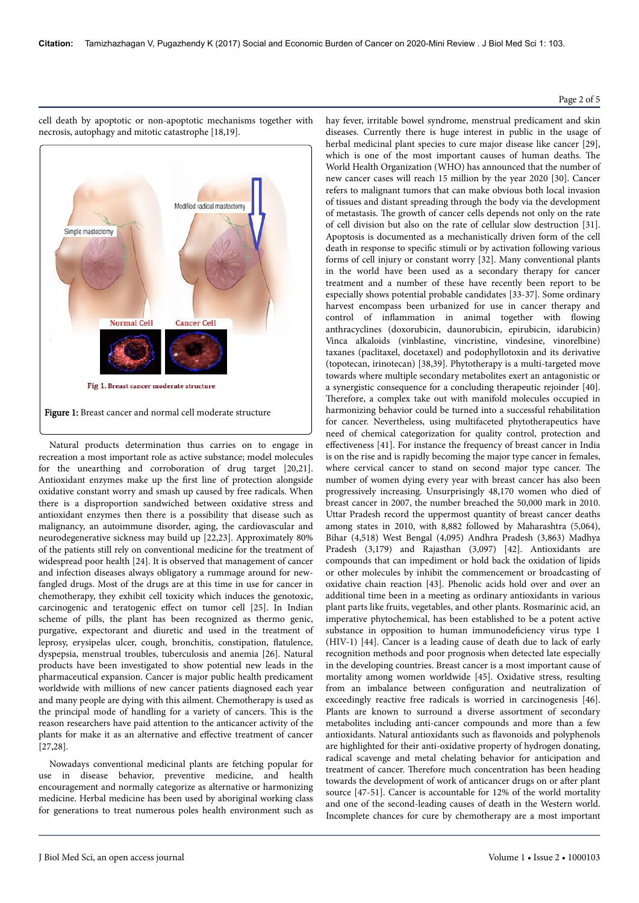## Page 2 of 5



cell death by apoptotic or non-apoptotic mechanisms together with necrosis, autophagy and mitotic catastrophe [18,19].

Natural products determination thus carries on to engage in recreation a most important role as active substance; model molecules for the unearthing and corroboration of drug target [20,21]. Antioxidant enzymes make up the first line of protection alongside oxidative constant worry and smash up caused by free radicals. When there is a disproportion sandwiched between oxidative stress and antioxidant enzymes then there is a possibility that disease such as malignancy, an autoimmune disorder, aging, the cardiovascular and neurodegenerative sickness may build up [22,23]. Approximately 80% of the patients still rely on conventional medicine for the treatment of widespread poor health [24]. It is observed that management of cancer and infection diseases always obligatory a rummage around for newfangled drugs. Most of the drugs are at this time in use for cancer in chemotherapy, they exhibit cell toxicity which induces the genotoxic, carcinogenic and teratogenic effect on tumor cell [25]. In Indian scheme of pills, the plant has been recognized as thermo genic, purgative, expectorant and diuretic and used in the treatment of leprosy, erysipelas ulcer, cough, bronchitis, constipation, flatulence dyspepsia, menstrual troubles, tuberculosis and anemia [26]. Natural products have been investigated to show potential new leads in the pharmaceutical expansion. Cancer is major public health predicament worldwide with millions of new cancer patients diagnosed each year and many people are dying with this ailment. Chemotherapy is used as the principal mode of handling for a variety of cancers. Нis is the reason researchers have paid attention to the anticancer activity of the plants for make it as an alternative and effective treatment of cancer  $[27,28]$ .

Nowadays conventional medicinal plants are fetching popular for use in disease behavior, preventive medicine, and health encouragement and normally categorize as alternative or harmonizing medicine. Herbal medicine has been used by aboriginal working class for generations to treat numerous poles health environment such as

hay fever, irritable bowel syndrome, menstrual predicament and skin diseases. Currently there is huge interest in public in the usage of herbal medicinal plant species to cure major disease like cancer [29], which is one of the most important causes of human deaths. Нe World Health Organization (WHO) has announced that the number of new cancer cases will reach 15 million by the year 2020 [30]. Cancer refers to malignant tumors that can make obvious both local invasion of tissues and distant spreading through the body via the development of metastasis. Нe growth of cancer cells depends not only on the rate of cell division but also on the rate of cellular slow destruction [31]. Apoptosis is documented as a mechanistically driven form of the cell death in response to specific stimuli or by activation following various forms of cell injury or constant worry [32]. Many conventional plants in the world have been used as a secondary therapy for cancer treatment and a number of these have recently been report to be especially shows potential probable candidates [33-37]. Some ordinary harvest encompass been urbanized for use in cancer therapy and control of inflammation in animal together with flowing anthracyclines (doxorubicin, daunorubicin, epirubicin, idarubicin) Vinca alkaloids (vinblastine, vincristine, vindesine, vinorelbine) taxanes (paclitaxel, docetaxel) and podophyllotoxin and its derivative (topotecan, irinotecan) [38,39]. Phytotherapy is a multi-targeted move towards where multiple secondary metabolites exert an antagonistic or a synergistic consequence for a concluding therapeutic rejoinder [40]. Therefore, a complex take out with manifold molecules occupied in harmonizing behavior could be turned into a successful rehabilitation for cancer. Nevertheless, using multifaceted phytotherapeutics have need of chemical categorization for quality control, protection and effectiveness [41]. For instance the frequency of breast cancer in India is on the rise and is rapidly becoming the major type cancer in females, where cervical cancer to stand on second major type cancer. Нe number of women dying every year with breast cancer has also been progressively increasing. Unsurprisingly 48,170 women who died of breast cancer in 2007, the number breached the 50,000 mark in 2010. Uttar Pradesh record the uppermost quantity of breast cancer deaths among states in 2010, with 8,882 followed by Maharashtra (5,064), Bihar (4,518) West Bengal (4,095) Andhra Pradesh (3,863) Madhya Pradesh (3,179) and Rajasthan (3,097) [42]. Antioxidants are compounds that can impediment or hold back the oxidation of lipids or other molecules by inhibit the commencement or broadcasting of oxidative chain reaction [43]. Phenolic acids hold over and over an additional time been in a meeting as ordinary antioxidants in various plant parts like fruits, vegetables, and other plants. Rosmarinic acid, an imperative phytochemical, has been established to be a potent active substance in opposition to human immunodeficiency virus type 1 (HIV-1) [44]. Cancer is a leading cause of death due to lack of early recognition methods and poor prognosis when detected late especially in the developing countries. Breast cancer is a most important cause of mortality among women worldwide [45]. Oxidative stress, resulting from an imbalance between configuration and neutralization of exceedingly reactive free radicals is worried in carcinogenesis [46]. Plants are known to surround a diverse assortment of secondary metabolites including anti-cancer compounds and more than a few antioxidants. Natural antioxidants such as flavonoids and polyphenols are highlighted for their anti-oxidative property of hydrogen donating, radical scavenge and metal chelating behavior for anticipation and treatment of cancer. Нerefore much concentration has been heading towards the development of work of anticancer drugs on or after plant source [47-51]. Cancer is accountable for 12% of the world mortality and one of the second-leading causes of death in the Western world. Incomplete chances for cure by chemotherapy are a most important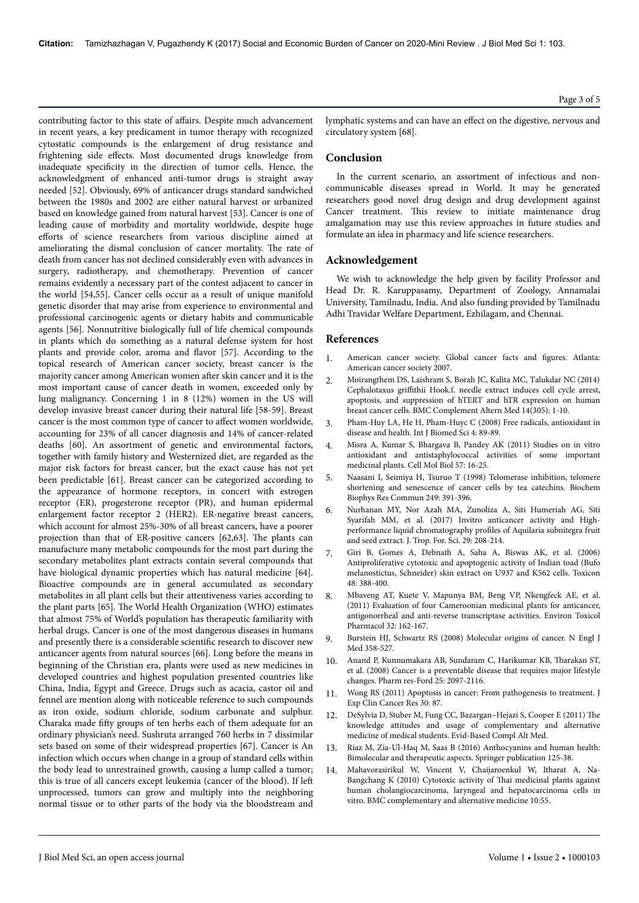contributing factor to this state of affairs. Despite much advancement in recent years, a key predicament in tumor therapy with recognized cytostatic compounds is the enlargement of drug resistance and frightening side effects. Most documented drugs knowledge from inadequate specificity in the direction of tumor cells. Hence, the acknowledgment of enhanced anti-tumor drugs is straight away needed [52]. Obviously, 69% of anticancer drugs standard sandwiched between the 1980s and 2002 are either natural harvest or urbanized based on knowledge gained from natural harvest [53]. Cancer is one of leading cause of morbidity and mortality worldwide, despite huge efforts of science researchers from various discipline aimed at ameliorating the dismal conclusion of cancer mortality. Нe rate of death from cancer has not declined considerably even with advances in surgery, radiotherapy, and chemotherapy. Prevention of cancer remains evidently a necessary part of the contest adjacent to cancer in the world [54,55]. Cancer cells occur as a result of unique manifold genetic disorder that may arise from experience to environmental and professional carcinogenic agents or dietary habits and communicable agents [56]. Nonnutritive biologically full of life chemical compounds in plants which do something as a natural defense system for host plants and provide color, aroma and flavor [57]. According to the topical research of American cancer society, breast cancer is the majority cancer among American women after skin cancer and it is the most important cause of cancer death in women, exceeded only by lung malignancy. Concerning 1 in 8 (12%) women in the US will develop invasive breast cancer during their natural life [58-59]. Breast cancer is the most common type of cancer to affect women worldwide, accounting for 23% of all cancer diagnosis and 14% of cancer-related deaths [60]. An assortment of genetic and environmental factors, together with family history and Westernized diet, are regarded as the major risk factors for breast cancer, but the exact cause has not yet been predictable [61]. Breast cancer can be categorized according to the appearance of hormone receptors, in concert with estrogen receptor (ER), progesterone receptor (PR), and human epidermal enlargement factor receptor 2 (HER2). ER-negative breast cancers, which account for almost 25%-30% of all breast cancers, have a poorer projection than that of ER-positive cancers [62,63]. Нe plants can manufacture many metabolic compounds for the most part during the secondary metabolites plant extracts contain several compounds that have biological dynamic properties which has natural medicine [64]. Bioactive compounds are in general accumulated as secondary metabolites in all plant cells but their attentiveness varies according to the plant parts [65]. Нe World Health Organization (WHO) estimates that almost 75% of World's population has therapeutic familiarity with herbal drugs. Cancer is one of the most dangerous diseases in humans and presently there is a considerable scientific research to discover new anticancer agents from natural sources [66]. Long before the means in beginning of the Christian era, plants were used as new medicines in developed countries and highest population presented countries like China, India, Egypt and Greece. Drugs such as acacia, castor oil and fennel are mention along with noticeable reference to such compounds as iron oxide, sodium chloride, sodium carbonate and sulphur. Charaka made fifty groups of ten herbs each of them adequate for an ordinary physician's need. Sushruta arranged 760 herbs in 7 dissimilar sets based on some of their widespread properties [67]. Cancer is An infection which occurs when change in a group of standard cells within the body lead to unrestrained growth, causing a lump called a tumor; this is true of all cancers except leukemia (cancer of the blood). If left unprocessed, tumors can grow and multiply into the neighboring normal tissue or to other parts of the body via the bloodstream and

Page 3 of 5

lymphatic systems and can have an effect on the digestive, nervous and circulatory system [68].

## **Conclusion**

In the current scenario, an assortment of infectious and noncommunicable diseases spread in World. It may be generated researchers good novel drug design and drug development against Cancer treatment. Нis review to initiate maintenance drug amalgamation may use this review approaches in future studies and formulate an idea in pharmacy and life science researchers.

#### **Acknowledgement**

We wish to acknowledge the help given by facility Professor and Head Dr. R. Karuppasamy, Department of Zoology, Annamalai University, Tamilnadu, India. And also funding provided by Tamilnadu Adhi Travidar Welfare Department, Ezhilagam, and Chennai.

#### **References**

- 1. [American cancer society. Global cancer facts and](https://www.cancer.org/research/cancer-facts-statistics/global.html) figures. Atlanta: [American cancer society 2007](https://www.cancer.org/research/cancer-facts-statistics/global.html).
- 2. Moirangthem DS, Laishram S, Borah JC, Kalita MC, Talukdar NC (2014) Cephalotaxus griffithii Hook.f. needle extract induces cell cycle arrest, apoptosis, and suppression of hTERT and hTR expression on human breast cancer cells. BMC Complement Altern Med 14(305): 1-10.
- 3. [Pham-Huy LA, He H, Pham-Huyc C \(2008\) Free radicals, antioxidant in](https://www.ncbi.nlm.nih.gov/pmc/articles/PMC3614697/) [disease and health. Int J Biomed Sci 4: 89-89.](https://www.ncbi.nlm.nih.gov/pmc/articles/PMC3614697/)
- 4. [Misra A, Kumar S, Bhargava B, Pandey AK \(2011\) Studies on in vitro](https://www.ncbi.nlm.nih.gov/pubmed/21366958) [antioxidant and antistaphylococcal activities of some important](https://www.ncbi.nlm.nih.gov/pubmed/21366958) [medicinal plants. Cell Mol Biol 57: 16-25.](https://www.ncbi.nlm.nih.gov/pubmed/21366958)
- 5. [Naasani I, Seimiya H, Tsuruo T \(1998\) Telomerase inhibition, telomere](https://doi.org/10.1006/bbrc.1998.9075) [shortening and senescence of cancer cells by tea catechins. Biochem](https://doi.org/10.1006/bbrc.1998.9075) [Biophys Res Commun 249: 391-396.](https://doi.org/10.1006/bbrc.1998.9075)
- 6. [Nurhanan MY, Nor Azah MA, Zunoliza A, Siti Humeriah AG, Siti](https://www.jstor.org/stable/44160938?seq=1) [Syarifah MM, et al. \(2017\) Invitro anticancer activity and High](https://www.jstor.org/stable/44160938?seq=1)[performance liquid chromatography](https://www.jstor.org/stable/44160938?seq=1) profiles of Aquilaria subnitegra fruit [and seed extract. J. Trop. For. Sci. 29: 208-214.](https://www.jstor.org/stable/44160938?seq=1)
- 7. [Giri B, Gomes A, Debnath A, Saha A, Biswas AK, et al. \(2006\)](https://doi.org/10.1016/j.toxicon.2006.06.011) [Antiproliferative cytotoxic and apoptogenic activity of Indian toad \(Bufo](https://doi.org/10.1016/j.toxicon.2006.06.011) [melanostictus, Schneider\) skin extract on U937 and K562 cells. Toxicon](https://doi.org/10.1016/j.toxicon.2006.06.011) [48: 388-400.](https://doi.org/10.1016/j.toxicon.2006.06.011)
- 8. [Mbaveng AT, Kuete V, Mapunya BM, Beng VP, Nkengfeck AE, et al.](https://pdfs.semanticscholar.org/50a6/4c14f0606f37c273c51cfe05c733e2753872.pdf) [\(2011\) Evaluation of four Cameroonian medicinal plants for anticancer,](https://pdfs.semanticscholar.org/50a6/4c14f0606f37c273c51cfe05c733e2753872.pdf) [antigonorrheal and anti-reverse transcriptase activities. Environ Toxicol](https://pdfs.semanticscholar.org/50a6/4c14f0606f37c273c51cfe05c733e2753872.pdf) [Pharmacol 32: 162-167.](https://pdfs.semanticscholar.org/50a6/4c14f0606f37c273c51cfe05c733e2753872.pdf)
- 9. [Burstein HJ, Schwartz RS \(2008\) Molecular origins of cancer. N Engl J](https://www.ncbi.nlm.nih.gov/pubmed/18234758) [Med 358-527.](https://www.ncbi.nlm.nih.gov/pubmed/18234758)
- 10. [Anand P, Kunnumakara AB, Sundaram C, Harikumar KB,](https://doi.org/10.1007/s11095-008-9661-9) Нarakan ST, [et al. \(2008\) Cancer is a preventable disease that requires major lifestyle](https://doi.org/10.1007/s11095-008-9661-9) [changes. Pharm res-Ford 25: 2097-2116.](https://doi.org/10.1007/s11095-008-9661-9)
- 11. [Wong RS \(2011\) Apoptosis in cancer: From pathogenesis to treatment. J](https://doi.org/10.1186/1756-9966-30-87) [Exp Clin Cancer Res 30: 87.](https://doi.org/10.1186/1756-9966-30-87)
- 12. [DeSylvia D, Stuber M, Fung CC, Bazargan–Hejazi S, Cooper E \(2011\)](http://dx.doi.org/10.1093/ecam/nen075) Нe [knowledge attitudes and usage of complementary and alternative](http://dx.doi.org/10.1093/ecam/nen075) [medicine of medical students. Evid-Based Compl Alt Med.](http://dx.doi.org/10.1093/ecam/nen075)
- 13. [Riaz M, Zia-Ul-Haq M, Saas B \(2016\) Anthocyanins and human health:](http://www.springer.com/in/book/9783319264547) [Bimolecular and therapeutic aspects. Springer publication 125-38.](http://www.springer.com/in/book/9783319264547)
- 14. [Mahavorasirikul W, Vincent V, Chaijaroenkul W, Itharat A, Na-](https://doi.org/10.1186/1472-6882-10-55)[Bangchang K \(2010\) Cytotoxic activity of](https://doi.org/10.1186/1472-6882-10-55) Thai medicinal plants against [human cholangiocarcinoma, laryngeal and hepatocarcinoma cells in](https://doi.org/10.1186/1472-6882-10-55) [vitro. BMC complementary and alternative medicine 10:55.](https://doi.org/10.1186/1472-6882-10-55)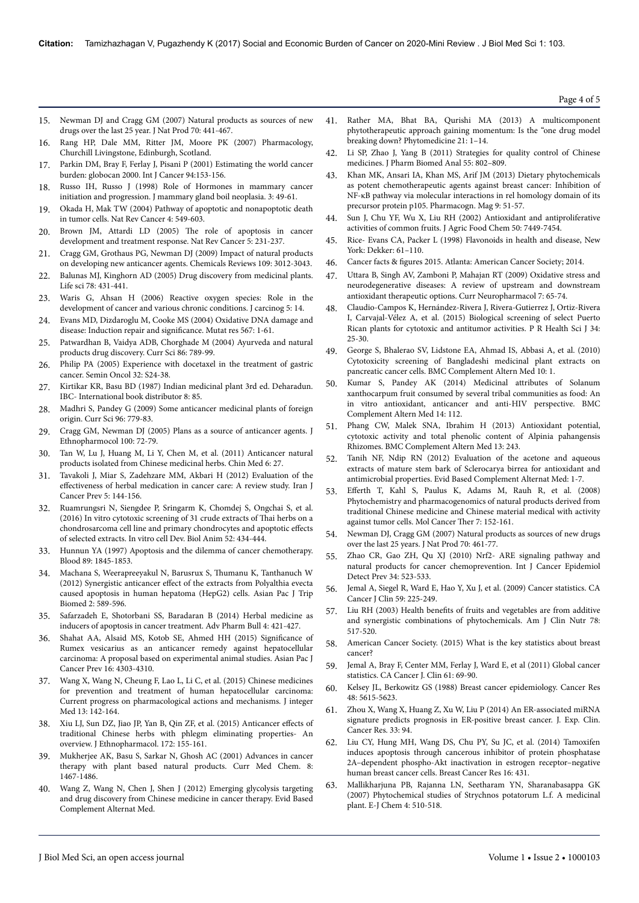- 15. [Newman DJ and Cragg GM \(2007\) Natural products as sources of new](http://pubs.acs.org/doi/abs/10.1021/np068054v) [drugs over the last 25 year. J Nat Prod 70: 441-467.](http://pubs.acs.org/doi/abs/10.1021/np068054v)
- 16. Rang HP, Dale MM, Ritter JM, Moore PK (2007) Pharmacology, Churchill Livingstone, Edinburgh, Scotland.
- [Parkin DM, Bray F, Ferlay J, Pisani P \(2001\) Estimating the world cancer](https://www.ncbi.nlm.nih.gov/pubmed/11668491) [burden: globocan 2000. Int J Cancer 94:153-156.](https://www.ncbi.nlm.nih.gov/pubmed/11668491)
- 18. [Russo IH, Russo J \(1998\) Role of Hormones in mammary cancer](https://link.springer.com/article/10.1023/A:1018770218022) [initiation and progression. J mammary gland boil neoplasia. 3: 49-61.](https://link.springer.com/article/10.1023/A:1018770218022)
- 19. [Okada H, Mak TW \(2004\) Pathway of apoptotic and nonapoptotic death](https://doi.org/10.1038/nrc1412) [in tumor cells. Nat Rev Cancer 4: 549-603.](https://doi.org/10.1038/nrc1412)
- 20. [Brown JM, Attardi LD \(2005\)](https://doi.org/10.1038/nrc1560) Нe role of apoptosis in cancer [development and treatment response. Nat Rev Cancer 5: 231-237.](https://doi.org/10.1038/nrc1560)
- 21. [Cragg GM, Grothaus PG, Newman DJ \(2009\) Impact of natural products](https://doi.org/10.1021/cr900019j) [on developing new anticancer agents. Chemicals Reviews 109: 3012-3043.](https://doi.org/10.1021/cr900019j)
- 22. [Balunas MJ, Kinghorn AD \(2005\) Drug discovery from medicinal plants.](https://doi.org/10.1016/j.lfs.2005.09.012) [Life sci 78: 431-441.](https://doi.org/10.1016/j.lfs.2005.09.012)
- 23. [Waris G, Ahsan H \(2006\) Reactive oxygen species: Role in the](https://doi.org/10.1186/1477-3163-5-14) [development of cancer and various chronic conditions. J carcinog 5: 14.](https://doi.org/10.1186/1477-3163-5-14)
- 24. [Evans MD, Dizdaroglu M, Cooke MS \(2004\) Oxidative DNA damage and](https://doi.org/10.1016/j.mrrev.2003.11.001) [disease: Induction repair and](https://doi.org/10.1016/j.mrrev.2003.11.001) significance Mutat res 567: 1-61.
- 25. [Patwardhan B, Vaidya ADB, Chorghade M \(2004\) Ayurveda and natural](http://www.iisc.ernet.in/currsci/mar252004/789.pdf) [products drug discovery. Curr Sci 86: 789-99.](http://www.iisc.ernet.in/currsci/mar252004/789.pdf)
- 26. [Philip PA \(2005\) Experience with docetaxel in the treatment of gastric](https://www.ncbi.nlm.nih.gov/pubmed/16015552) [cancer. Semin Oncol 32: S24-38.](https://www.ncbi.nlm.nih.gov/pubmed/16015552)
- 27. Kirtikar KR, Basu BD (1987) Indian medicinal plant 3rd ed. Deharadun. IBC- International book distributor 8: 85.
- 28. [Madhri S, Pandey G \(2009\) Some anticancer medicinal plants of foreign](http://re.indiaenvironmentportal.org.in/files/Some%20anticancer%20medicinal%20plants.pdf) [origin. Curr Sci 96: 779-83.](http://re.indiaenvironmentportal.org.in/files/Some%20anticancer%20medicinal%20plants.pdf)
- 29. [Cragg GM, Newman DJ \(2005\) Plans as a source of anticancer agents. J](http://citeseerx.ist.psu.edu/viewdoc/download?doi=10.1.1.335.8151&rep=rep1&type=pdf) [Ethnopharmocol 100: 72-79.](http://citeseerx.ist.psu.edu/viewdoc/download?doi=10.1.1.335.8151&rep=rep1&type=pdf)
- 30. Tan W, Lu J, Huang M, Li Y, Chen M, et al. (2011) Anticancer natural products isolated from Chinese medicinal herbs. Chin Med 6: 27.
- 31. [Tavakoli J, Miar S, Zadehzare MM, Akbari H \(2012\) Evaluation of the](https://www.ncbi.nlm.nih.gov/pmc/articles/PMC4294537/) effectiveness [of herbal medication in cancer care: A review study. Iran J](https://www.ncbi.nlm.nih.gov/pmc/articles/PMC4294537/) [Cancer Prev 5: 144-156.](https://www.ncbi.nlm.nih.gov/pmc/articles/PMC4294537/)
- 32. [Ruamrungsri N, Siengdee P, Sringarm K, Chomdej S, Ongchai S, et al.](https://www.ncbi.nlm.nih.gov/pubmed/26857828) [\(2016\) In vitro cytotoxic screening of 31 crude extracts of](https://www.ncbi.nlm.nih.gov/pubmed/26857828) Нai herbs on a [chondrosarcoma cell line and primary chondrocytes and apoptotic](https://www.ncbi.nlm.nih.gov/pubmed/26857828) effects [of selected extracts. In vitro cell Dev. Biol Anim 52: 434-444.](https://www.ncbi.nlm.nih.gov/pubmed/26857828)
- 33. [Hunnun YA \(1997\) Apoptosis and the dilemma of cancer chemotherapy.](https://www.ncbi.nlm.nih.gov/pubmed/9058703) [Blood 89: 1845-1853.](https://www.ncbi.nlm.nih.gov/pubmed/9058703)
- 34. [Machana S, Weerapreeyakul N, Barusrux S,](https://www.ncbi.nlm.nih.gov/pubmed/23569977) Нumanu K, Tanthanuch W (2012) Synergistic anticancer effect [of the extracts from Polyalthia evecta](https://www.ncbi.nlm.nih.gov/pubmed/23569977) [caused apoptosis in human hepatoma \(HepG2\) cells. Asian Pac J Trip](https://www.ncbi.nlm.nih.gov/pubmed/23569977) [Biomed 2: 589-596.](https://www.ncbi.nlm.nih.gov/pubmed/23569977)
- 35. [Safarzadeh E, Shotorbani SS, Baradaran B \(2014\) Herbal medicine as](https://www.ncbi.nlm.nih.gov/pmc/articles/PMC4213780/) [inducers of apoptosis in cancer treatment. Adv Pharm Bull 4: 421-427.](https://www.ncbi.nlm.nih.gov/pmc/articles/PMC4213780/)
- 36. [Shahat AA, Alsaid MS, Kotob SE, Ahmed HH \(2015\)](https://www.ncbi.nlm.nih.gov/pubmed/26028090) 6ignificance of [Rumex vesicarius as an anticancer remedy against hepatocellular](https://www.ncbi.nlm.nih.gov/pubmed/26028090) [carcinoma: A proposal based on experimental animal studies. Asian Pac J](https://www.ncbi.nlm.nih.gov/pubmed/26028090) [Cancer Prev 16: 4303-4310.](https://www.ncbi.nlm.nih.gov/pubmed/26028090)
- 37. [Wang X, Wang N, Cheung F, Lao L, Li C, et al. \(2015\) Chinese medicines](https://www.ncbi.nlm.nih.gov/pubmed/26006028) [for prevention and treatment of human hepatocellular carcinoma:](https://www.ncbi.nlm.nih.gov/pubmed/26006028) [Current progress on pharmacological actions and mechanisms. J integer](https://www.ncbi.nlm.nih.gov/pubmed/26006028) [Med 13: 142-164.](https://www.ncbi.nlm.nih.gov/pubmed/26006028)
- 38. [Xiu LJ, Sun DZ, Jiao JP, Yan B, Qin ZF, et al. \(2015\) Anticancer](https://www.ncbi.nlm.nih.gov/pubmed/26038151) effects of [traditional Chinese herbs with phlegm eliminating properties- An](https://www.ncbi.nlm.nih.gov/pubmed/26038151) [overview. J Ethnopharmacol. 172: 155-161.](https://www.ncbi.nlm.nih.gov/pubmed/26038151)
- 39. [Mukherjee AK, Basu S, Sarkar N, Ghosh AC \(2001\) Advances in cancer](https://www.ncbi.nlm.nih.gov/pubmed/11562277) [therapy with plant based natural products. Curr Med Chem. 8:](https://www.ncbi.nlm.nih.gov/pubmed/11562277) [1467-1486.](https://www.ncbi.nlm.nih.gov/pubmed/11562277)
- 40. [Wang Z, Wang N, Chen J, Shen J \(2012\) Emerging glycolysis targeting](http://dx.doi.org/10.1155/2012/873175) [and drug discovery from Chinese medicine in cancer therapy. Evid Based](http://dx.doi.org/10.1155/2012/873175) [Complement Alternat Med.](http://dx.doi.org/10.1155/2012/873175)
- 41. [Rather MA, Bhat BA, Qurishi MA \(2013\) A multicomponent](https://www.ncbi.nlm.nih.gov/pubmed/24035674) [phytotherapeutic approach gaining momentum: Is the "one drug model](https://www.ncbi.nlm.nih.gov/pubmed/24035674) [breaking down? Phytomedicine 21: 1–14.](https://www.ncbi.nlm.nih.gov/pubmed/24035674)
- 42. [Li SP, Zhao J, Yang B \(2011\) Strategies for quality control of Chinese](https://www.ncbi.nlm.nih.gov/pubmed/21215546) [medicines. J Pharm Biomed Anal 55: 802–809.](https://www.ncbi.nlm.nih.gov/pubmed/21215546)
- 43. [Khan MK, Ansari IA, Khan MS, Arif JM \(2013\) Dietary phytochemicals](http://dx.doi.org/10.4103/0973-1296.108140) [as potent chemotherapeutic agents against breast cancer: Inhibition of](http://dx.doi.org/10.4103/0973-1296.108140) [NF-κB pathway via molecular interactions in rel homology domain of its](http://dx.doi.org/10.4103/0973-1296.108140) [precursor protein p105. Pharmacogn. Mag 9: 51-57.](http://dx.doi.org/10.4103/0973-1296.108140)
- 44. [Sun J, Chu YF, Wu X, Liu RH \(2002\) Antioxidant and antiproliferative](https://www.ncbi.nlm.nih.gov/pubmed/12452674) [activities of common fruits. J Agric Food Chem 50: 7449-7454.](https://www.ncbi.nlm.nih.gov/pubmed/12452674)
- 45. [Rice- Evans CA, Packer L \(1998\) Flavonoids in health and disease, New](https://books.google.co.in/books?id=HTIiSCLEVs4C&pg=PA91&lpg=PA91&dq=C.+A.+Rice-+Evans,+%26+L.+Packer+(Eds.),+Flavonoids+in+health+and+disease&source=bl&ots=iPBxa8EHW-&sig=UBpK0p2PXS0MGyYOJ31r4OjX1E8&hl=en&sa=X&ved=0ahUKEwjyj4qSv_7WAhWILo8KHcj4D0cQ6AEIMzAC) [York: Dekker: 61–110.](https://books.google.co.in/books?id=HTIiSCLEVs4C&pg=PA91&lpg=PA91&dq=C.+A.+Rice-+Evans,+%26+L.+Packer+(Eds.),+Flavonoids+in+health+and+disease&source=bl&ots=iPBxa8EHW-&sig=UBpK0p2PXS0MGyYOJ31r4OjX1E8&hl=en&sa=X&ved=0ahUKEwjyj4qSv_7WAhWILo8KHcj4D0cQ6AEIMzAC)
- 46. Cancer facts & figures [2015. Atlanta: American Cancer Society; 2014.](http://oralcancerfoundation.org/wp-content/uploads/2016/03/Us_Cancer_Facts.pdf)
- 47. [Uttara B, Singh AV, Zamboni P, Mahajan RT \(2009\) Oxidative stress and](https://www.ncbi.nlm.nih.gov/pmc/articles/PMC2724665/) [neurodegenerative diseases: A review of upstream and downstream](https://www.ncbi.nlm.nih.gov/pmc/articles/PMC2724665/) [antioxidant therapeutic options. Curr Neuropharmacol 7: 65-74.](https://www.ncbi.nlm.nih.gov/pmc/articles/PMC2724665/)
- 48. [Claudio-Campos K, Hernández-Rivera J, Rivera-Gutierrez J, Ortiz-Rivera](https://www.ncbi.nlm.nih.gov/pubmed/25856874) [I, Carvajal-Vélez A, et al. \(2015\) Biological screening of select Puerto](https://www.ncbi.nlm.nih.gov/pubmed/25856874) [Rican plants for cytotoxic and antitumor activities. P R Health Sci J 34:](https://www.ncbi.nlm.nih.gov/pubmed/25856874) [25-30.](https://www.ncbi.nlm.nih.gov/pubmed/25856874)
- 49. [George S, Bhalerao SV, Lidstone EA, Ahmad IS, Abbasi A, et al. \(2010\)](http://dx.doi.org/10.1186/1472-6882-10-52) [Cytotoxicity screening of Bangladeshi medicinal plant extracts on](http://dx.doi.org/10.1186/1472-6882-10-52) [pancreatic cancer cells. BMC Complement Altern Med 10: 1.](http://dx.doi.org/10.1186/1472-6882-10-52)
- 50. [Kumar S, Pandey AK \(2014\) Medicinal attributes of Solanum](https://doi.org/10.1186/1472-6882-14-112) [xanthocarpum fruit consumed by several tribal communities as food: An](https://doi.org/10.1186/1472-6882-14-112) [in vitro antioxidant, anticancer and anti-HIV perspective. BMC](https://doi.org/10.1186/1472-6882-14-112) [Complement Altern Med 14: 112.](https://doi.org/10.1186/1472-6882-14-112)
- 51. [Phang CW, Malek SNA, Ibrahim H \(2013\) Antioxidant potential,](https://doi.org/10.1186/1472-6882-13-243) [cytotoxic activity and total phenolic content of Alpinia pahangensis](https://doi.org/10.1186/1472-6882-13-243) [Rhizomes. BMC Complement Altern Med 13: 243.](https://doi.org/10.1186/1472-6882-13-243)
- 52. [Tanih NF, Ndip RN \(2012\) Evaluation of the acetone and aqueous](http://dx.doi.org/10.1155/2012/834156) [extracts of mature stem bark of Sclerocarya birrea for antioxidant and](http://dx.doi.org/10.1155/2012/834156) [antimicrobial properties. Evid Based Complement Alternat Med: 1-7.](http://dx.doi.org/10.1155/2012/834156)
- 53. Efferth [T, Kahl S, Paulus K, Adams M, Rauh R, et al. \(2008\)](http://dx.doi.org/10.1158/1535-7163.MCT-07-0073) [Phytochemistry and pharmacogenomics of natural products derived from](http://dx.doi.org/10.1158/1535-7163.MCT-07-0073) [traditional Chinese medicine and Chinese material medical with activity](http://dx.doi.org/10.1158/1535-7163.MCT-07-0073) [against tumor cells. Mol Cancer](http://dx.doi.org/10.1158/1535-7163.MCT-07-0073) Нer 7: 152-161.
- 54. [Newman DJ, Cragg GM \(2007\) Natural products as sources of new drugs](http://dx.doi.org/10.1021/np068054v) [over the last 25 years. J Nat Prod 70: 461-77.](http://dx.doi.org/10.1021/np068054v)
- 55. [Zhao CR, Gao ZH, Qu XJ \(2010\) Nrf2- ARE signaling pathway and](http://dx.doi.org/10.1016/j.canep.2010.06.012) [natural products for cancer chemoprevention. Int J Cancer Epidemiol](http://dx.doi.org/10.1016/j.canep.2010.06.012) [Detect Prev 34: 523-533.](http://dx.doi.org/10.1016/j.canep.2010.06.012)
- 56. [Jemal A, Siegel R, Ward E, Hao Y, Xu J, et al. \(2009\) Cancer statistics. CA](http://dx.doi.org/10.3322/caac.20006) [Cancer J Clin 59: 225-249.](http://dx.doi.org/10.3322/caac.20006)
- 57. Liu RH (2003) Health benefits [of fruits and vegetables are from additive](https://www.ncbi.nlm.nih.gov/pubmed/12936943) [and synergistic combinations of phytochemicals. Am J Clin Nutr 78:](https://www.ncbi.nlm.nih.gov/pubmed/12936943) [517-520.](https://www.ncbi.nlm.nih.gov/pubmed/12936943)
- 58. [American Cancer Society. \(2015\) What is the key statistics about breast](https://www.cancer.org/cancer/breast-cancer/about/how-common-is-breast-cancer.html) [cancer?](https://www.cancer.org/cancer/breast-cancer/about/how-common-is-breast-cancer.html)
- 59. [Jemal A, Bray F, Center MM, Ferlay J, Ward E, et al \(2011\) Global cancer](http://dx.doi.org/10.3322/caac.20107) [statistics. CA Cancer J. Clin 61: 69-90.](http://dx.doi.org/10.3322/caac.20107)
- 60. [Kelsey JL, Berkowitz GS \(1988\) Breast cancer epidemiology. Cancer Res](https://www.ncbi.nlm.nih.gov/pubmed/3048646) [48: 5615-5623.](https://www.ncbi.nlm.nih.gov/pubmed/3048646)
- 61. [Zhou X, Wang X, Huang Z, Xu W, Liu P \(2014\) An ER-associated miRNA](http://dx.doi.org/10.1186/s13046-014-0094-5) [signature predicts prognosis in ER-positive breast cancer. J. Exp. Clin.](http://dx.doi.org/10.1186/s13046-014-0094-5) [Cancer Res. 33: 94.](http://dx.doi.org/10.1186/s13046-014-0094-5)
- 62. [Liu CY, Hung MH, Wang DS, Chu PY, Su JC, et al. \(2014\) Tamoxifen](http://dx.doi.org/10.1186/s13058-014-0431-9) [induces apoptosis through cancerous inhibitor of protein phosphatase](http://dx.doi.org/10.1186/s13058-014-0431-9) [2A–dependent phospho-Akt inactivation in estrogen receptor–negative](http://dx.doi.org/10.1186/s13058-014-0431-9) [human breast cancer cells. Breast Cancer Res 16: 431.](http://dx.doi.org/10.1186/s13058-014-0431-9)
- 63. [Mallikharjuna PB, Rajanna LN, Seetharam YN, Sharanabasappa GK](http://dx.doi.org/10.1155/2007/687859) [\(2007\) Phytochemical studies of Strychnos potatorum L.f. A medicinal](http://dx.doi.org/10.1155/2007/687859) [plant. E-J Chem 4: 510-518.](http://dx.doi.org/10.1155/2007/687859)